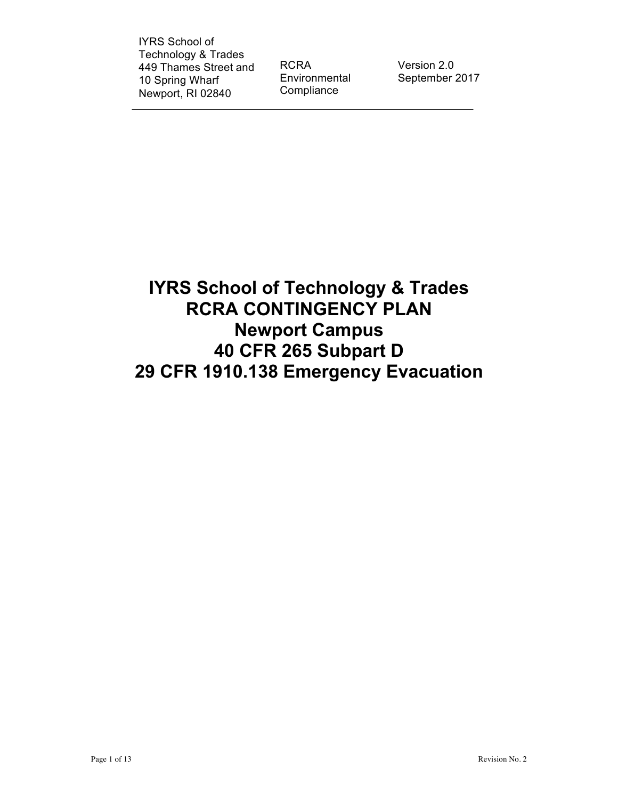IYRS School of Technology & Trades 449 Thames Street and 10 Spring Wharf Newport, RI 02840

RCRA Environmental **Compliance** 

Version 2.0 September 2017

**IYRS School of Technology & Trades RCRA CONTINGENCY PLAN Newport Campus 40 CFR 265 Subpart D 29 CFR 1910.138 Emergency Evacuation**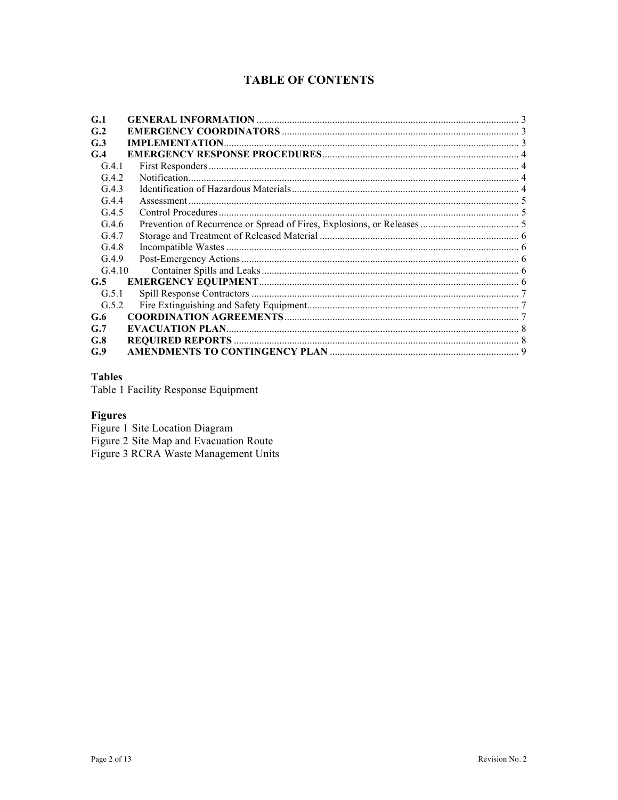## **TABLE OF CONTENTS**

| G.1            |  |
|----------------|--|
| G <sub>2</sub> |  |
| G.3            |  |
| G.4            |  |
| G.4.1          |  |
| G.4.2          |  |
| G.4.3          |  |
| G.4.4          |  |
| G.4.5          |  |
| G.4.6          |  |
| G.4.7          |  |
| G.4.8          |  |
| G.4.9          |  |
| G.4.10         |  |
| G.5            |  |
| G.5.1          |  |
| G.5.2          |  |
| G.6            |  |
| G.7            |  |
| G.8            |  |
| G.9            |  |

#### **Tables**

Table 1 Facility Response Equipment

## **Figures**

Figure 1 Site Location Diagram<br>Figure 2 Site Map and Evacuation Route<br>Figure 3 RCRA Waste Management Units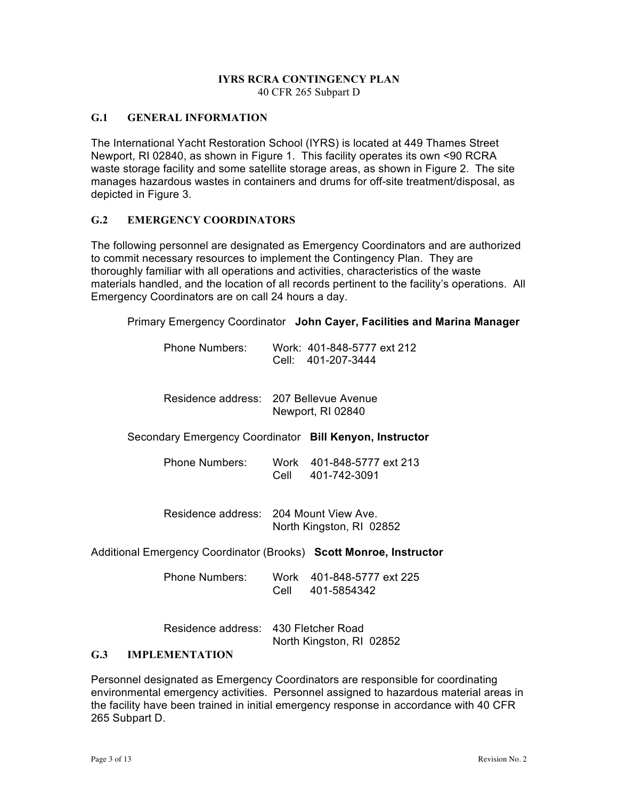#### **IYRS RCRA CONTINGENCY PLAN** 40 CFR 265 Subpart D

### <span id="page-2-0"></span>**G.1 GENERAL INFORMATION**

The International Yacht Restoration School (IYRS) is located at 449 Thames Street Newport, RI 02840, as shown in Figure 1. This facility operates its own <90 RCRA waste storage facility and some satellite storage areas, as shown in Figure 2. The site manages hazardous wastes in containers and drums for off-site treatment/disposal, as depicted in Figure 3.

#### <span id="page-2-1"></span>**G.2 EMERGENCY COORDINATORS**

The following personnel are designated as Emergency Coordinators and are authorized to commit necessary resources to implement the Contingency Plan. They are thoroughly familiar with all operations and activities, characteristics of the waste materials handled, and the location of all records pertinent to the facility's operations. All Emergency Coordinators are on call 24 hours a day.

Primary Emergency Coordinator **John Cayer, Facilities and Marina Manager**

Phone Numbers: Work: 401-848-5777 ext 212 Cell: 401-207-3444

Residence address: 207 Bellevue Avenue Newport, RI 02840

Secondary Emergency Coordinator **Bill Kenyon, Instructor**

Phone Numbers: Work 401-848-5777 ext 213 Cell 401-742-3091

Residence address: 204 Mount View Ave. North Kingston, RI 02852

Additional Emergency Coordinator (Brooks) **Scott Monroe, Instructor**

Phone Numbers: Work 401-848-5777 ext 225 Cell 401-5854342

Residence address: 430 Fletcher Road North Kingston, RI 02852

#### <span id="page-2-2"></span>**G.3 IMPLEMENTATION**

Personnel designated as Emergency Coordinators are responsible for coordinating environmental emergency activities. Personnel assigned to hazardous material areas in the facility have been trained in initial emergency response in accordance with 40 CFR 265 Subpart D.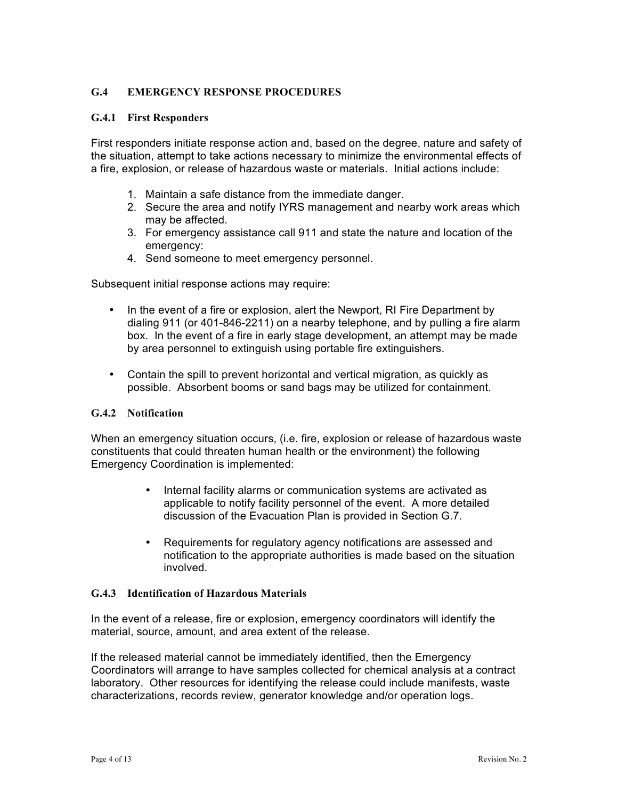#### <span id="page-3-0"></span>**G.4 EMERGENCY RESPONSE PROCEDURES**

#### <span id="page-3-1"></span>**G.4.1 First Responders**

First responders initiate response action and, based on the degree, nature and safety of the situation, attempt to take actions necessary to minimize the environmental effects of a fire, explosion, or release of hazardous waste or materials. Initial actions include:

- 1. Maintain a safe distance from the immediate danger.
- 2. Secure the area and notify IYRS management and nearby work areas which may be affected.
- 3. For emergency assistance call 911 and state the nature and location of the emergency:
- 4. Send someone to meet emergency personnel.

Subsequent initial response actions may require:

- In the event of a fire or explosion, alert the Newport, RI Fire Department by dialing 911 (or 401-846-2211) on a nearby telephone, and by pulling a fire alarm box. In the event of a fire in early stage development, an attempt may be made by area personnel to extinguish using portable fire extinguishers.
- Contain the spill to prevent horizontal and vertical migration, as quickly as possible. Absorbent booms or sand bags may be utilized for containment.

#### <span id="page-3-2"></span>**G.4.2 Notification**

When an emergency situation occurs, (i.e. fire, explosion or release of hazardous waste constituents that could threaten human health or the environment) the following Emergency Coordination is implemented:

- Internal facility alarms or communication systems are activated as applicable to notify facility personnel of the event. A more detailed discussion of the Evacuation Plan is provided in Section G.7.
- Requirements for regulatory agency notifications are assessed and notification to the appropriate authorities is made based on the situation involved.

#### <span id="page-3-3"></span>**G.4.3 Identification of Hazardous Materials**

In the event of a release, fire or explosion, emergency coordinators will identify the material, source, amount, and area extent of the release.

If the released material cannot be immediately identified, then the Emergency Coordinators will arrange to have samples collected for chemical analysis at a contract laboratory. Other resources for identifying the release could include manifests, waste characterizations, records review, generator knowledge and/or operation logs.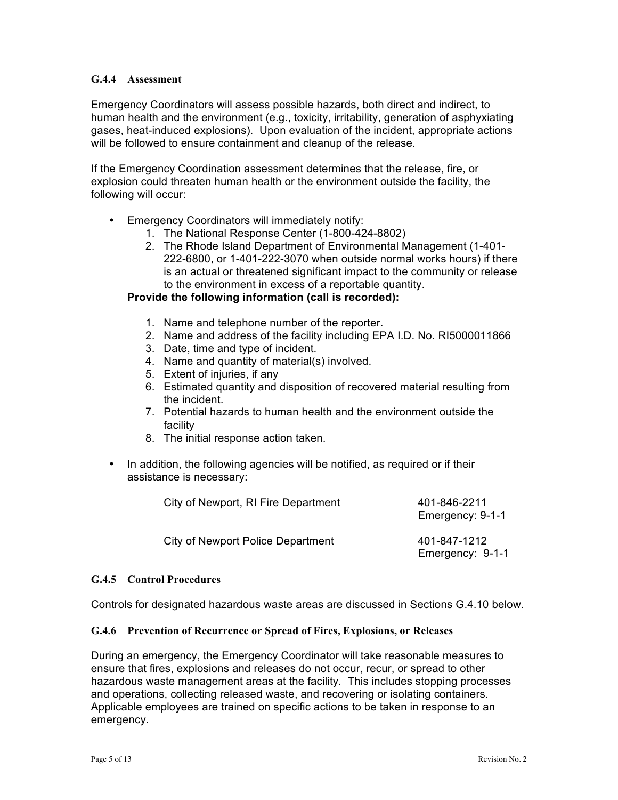#### <span id="page-4-0"></span>**G.4.4 Assessment**

Emergency Coordinators will assess possible hazards, both direct and indirect, to human health and the environment (e.g., toxicity, irritability, generation of asphyxiating gases, heat-induced explosions). Upon evaluation of the incident, appropriate actions will be followed to ensure containment and cleanup of the release.

If the Emergency Coordination assessment determines that the release, fire, or explosion could threaten human health or the environment outside the facility, the following will occur:

- Emergency Coordinators will immediately notify:
	- 1. The National Response Center (1-800-424-8802)
	- 2. The Rhode Island Department of Environmental Management (1-401- 222-6800, or 1-401-222-3070 when outside normal works hours) if there is an actual or threatened significant impact to the community or release to the environment in excess of a reportable quantity.

#### **Provide the following information (call is recorded):**

- 1. Name and telephone number of the reporter.
- 2. Name and address of the facility including EPA I.D. No. RI5000011866
- 3. Date, time and type of incident.
- 4. Name and quantity of material(s) involved.
- 5. Extent of injuries, if any
- 6. Estimated quantity and disposition of recovered material resulting from the incident.
- 7. Potential hazards to human health and the environment outside the facility
- 8. The initial response action taken.
- In addition, the following agencies will be notified, as required or if their assistance is necessary:

| City of Newport, RI Fire Department | 401-846-2211<br>Emergency: 9-1-1 |
|-------------------------------------|----------------------------------|
| City of Newport Police Department   | 401-847-1212<br>Emergency: 9-1-1 |

#### <span id="page-4-1"></span>**G.4.5 Control Procedures**

Controls for designated hazardous waste areas are discussed in Sections G.4.10 below.

#### <span id="page-4-2"></span>**G.4.6 Prevention of Recurrence or Spread of Fires, Explosions, or Releases**

During an emergency, the Emergency Coordinator will take reasonable measures to ensure that fires, explosions and releases do not occur, recur, or spread to other hazardous waste management areas at the facility. This includes stopping processes and operations, collecting released waste, and recovering or isolating containers. Applicable employees are trained on specific actions to be taken in response to an emergency.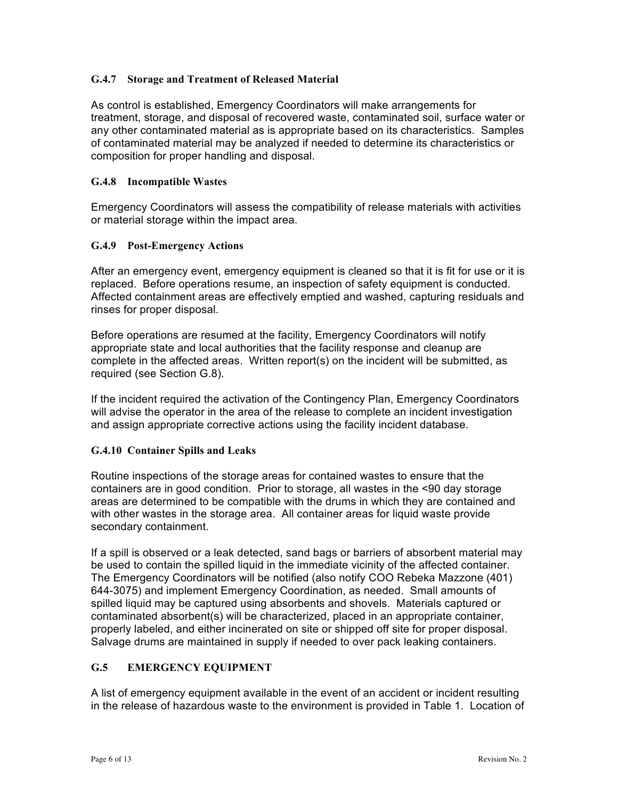#### <span id="page-5-0"></span>**G.4.7 Storage and Treatment of Released Material**

As control is established, Emergency Coordinators will make arrangements for treatment, storage, and disposal of recovered waste, contaminated soil, surface water or any other contaminated material as is appropriate based on its characteristics. Samples of contaminated material may be analyzed if needed to determine its characteristics or composition for proper handling and disposal.

#### <span id="page-5-1"></span>**G.4.8 Incompatible Wastes**

Emergency Coordinators will assess the compatibility of release materials with activities or material storage within the impact area.

#### <span id="page-5-2"></span>**G.4.9 Post-Emergency Actions**

After an emergency event, emergency equipment is cleaned so that it is fit for use or it is replaced. Before operations resume, an inspection of safety equipment is conducted. Affected containment areas are effectively emptied and washed, capturing residuals and rinses for proper disposal.

Before operations are resumed at the facility, Emergency Coordinators will notify appropriate state and local authorities that the facility response and cleanup are complete in the affected areas. Written report(s) on the incident will be submitted, as required (see Section G.8).

If the incident required the activation of the Contingency Plan, Emergency Coordinators will advise the operator in the area of the release to complete an incident investigation and assign appropriate corrective actions using the facility incident database.

#### <span id="page-5-3"></span>**G.4.10 Container Spills and Leaks**

Routine inspections of the storage areas for contained wastes to ensure that the containers are in good condition. Prior to storage, all wastes in the <90 day storage areas are determined to be compatible with the drums in which they are contained and with other wastes in the storage area. All container areas for liquid waste provide secondary containment.

If a spill is observed or a leak detected, sand bags or barriers of absorbent material may be used to contain the spilled liquid in the immediate vicinity of the affected container. The Emergency Coordinators will be notified (also notify COO Rebeka Mazzone (401) 644-3075) and implement Emergency Coordination, as needed. Small amounts of spilled liquid may be captured using absorbents and shovels. Materials captured or contaminated absorbent(s) will be characterized, placed in an appropriate container, properly labeled, and either incinerated on site or shipped off site for proper disposal. Salvage drums are maintained in supply if needed to over pack leaking containers.

### <span id="page-5-4"></span>**G.5 EMERGENCY EQUIPMENT**

A list of emergency equipment available in the event of an accident or incident resulting in the release of hazardous waste to the environment is provided in Table 1. Location of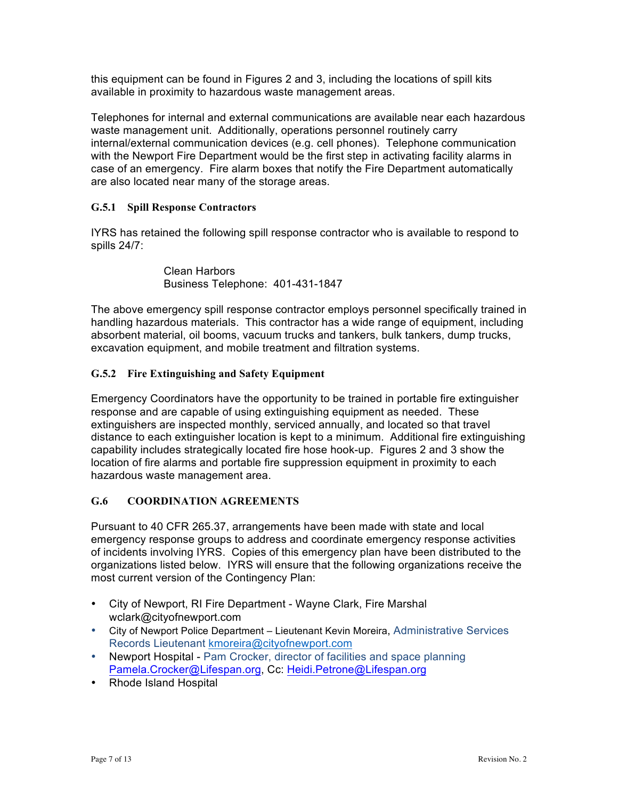this equipment can be found in Figures 2 and 3, including the locations of spill kits available in proximity to hazardous waste management areas.

Telephones for internal and external communications are available near each hazardous waste management unit. Additionally, operations personnel routinely carry internal/external communication devices (e.g. cell phones). Telephone communication with the Newport Fire Department would be the first step in activating facility alarms in case of an emergency. Fire alarm boxes that notify the Fire Department automatically are also located near many of the storage areas.

#### <span id="page-6-0"></span>**G.5.1 Spill Response Contractors**

IYRS has retained the following spill response contractor who is available to respond to spills 24/7:

> Clean Harbors Business Telephone: 401-431-1847

The above emergency spill response contractor employs personnel specifically trained in handling hazardous materials. This contractor has a wide range of equipment, including absorbent material, oil booms, vacuum trucks and tankers, bulk tankers, dump trucks, excavation equipment, and mobile treatment and filtration systems.

#### <span id="page-6-1"></span>**G.5.2 Fire Extinguishing and Safety Equipment**

Emergency Coordinators have the opportunity to be trained in portable fire extinguisher response and are capable of using extinguishing equipment as needed. These extinguishers are inspected monthly, serviced annually, and located so that travel distance to each extinguisher location is kept to a minimum. Additional fire extinguishing capability includes strategically located fire hose hook-up. Figures 2 and 3 show the location of fire alarms and portable fire suppression equipment in proximity to each hazardous waste management area.

#### <span id="page-6-2"></span>**G.6 COORDINATION AGREEMENTS**

Pursuant to 40 CFR 265.37, arrangements have been made with state and local emergency response groups to address and coordinate emergency response activities of incidents involving IYRS. Copies of this emergency plan have been distributed to the organizations listed below. IYRS will ensure that the following organizations receive the most current version of the Contingency Plan:

- City of Newport, RI Fire Department Wayne Clark, Fire Marshal wclark@cityofnewport.com
- City of Newport Police Department Lieutenant Kevin Moreira, Administrative Services Records Lieutenant [kmoreira@cityofnewport.com](mailto:kmoreira@cityofnewport.com)
- Newport Hospital Pam Crocker, director of facilities and space planning [Pamela.Crocker@Lifespan.org](mailto:Pamela.Crocker@Lifespan.org), Cc: [Heidi.Petrone@Lifespan.org](mailto:Heidi.Petrone@Lifespan.org)
- Rhode Island Hospital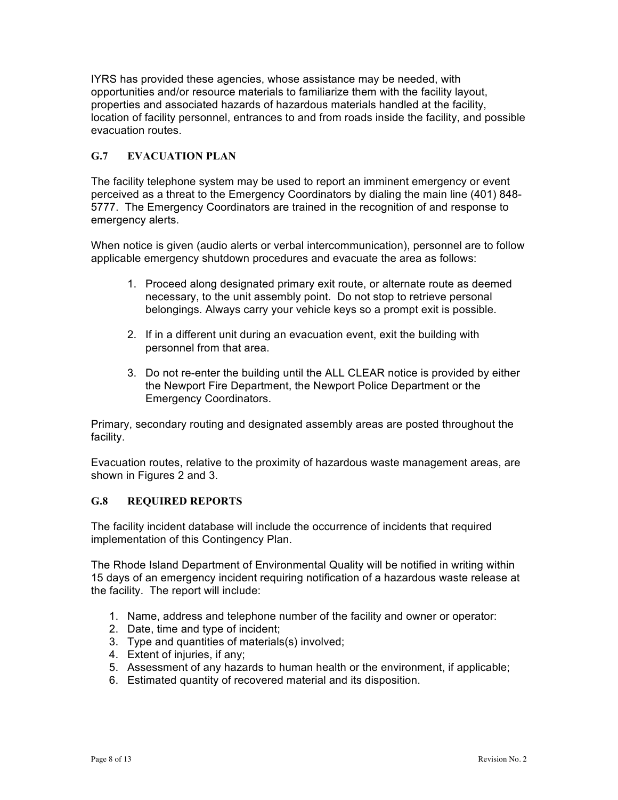IYRS has provided these agencies, whose assistance may be needed, with opportunities and/or resource materials to familiarize them with the facility layout, properties and associated hazards of hazardous materials handled at the facility, location of facility personnel, entrances to and from roads inside the facility, and possible evacuation routes.

### **G.7 EVACUATION PLAN**

The facility telephone system may be used to report an imminent emergency or event perceived as a threat to the Emergency Coordinators by dialing the main line (401) 848- 5777. The Emergency Coordinators are trained in the recognition of and response to emergency alerts.

When notice is given (audio alerts or verbal intercommunication), personnel are to follow applicable emergency shutdown procedures and evacuate the area as follows:

- 1. Proceed along designated primary exit route, or alternate route as deemed necessary, to the unit assembly point. Do not stop to retrieve personal belongings. Always carry your vehicle keys so a prompt exit is possible.
- 2. If in a different unit during an evacuation event, exit the building with personnel from that area.
- 3. Do not re-enter the building until the ALL CLEAR notice is provided by either the Newport Fire Department, the Newport Police Department or the Emergency Coordinators.

Primary, secondary routing and designated assembly areas are posted throughout the facility.

Evacuation routes, relative to the proximity of hazardous waste management areas, are shown in Figures 2 and 3.

#### <span id="page-7-0"></span>**G.8 REQUIRED REPORTS**

The facility incident database will include the occurrence of incidents that required implementation of this Contingency Plan.

The Rhode Island Department of Environmental Quality will be notified in writing within 15 days of an emergency incident requiring notification of a hazardous waste release at the facility. The report will include:

- 1. Name, address and telephone number of the facility and owner or operator:
- 2. Date, time and type of incident;
- 3. Type and quantities of materials(s) involved;
- 4. Extent of injuries, if any;
- 5. Assessment of any hazards to human health or the environment, if applicable;
- 6. Estimated quantity of recovered material and its disposition.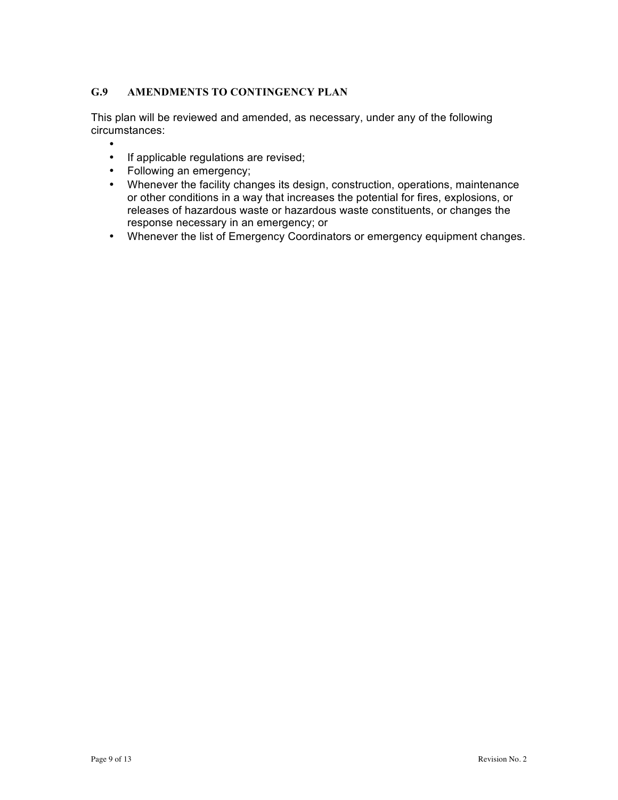## <span id="page-8-0"></span>**G.9 AMENDMENTS TO CONTINGENCY PLAN**

This plan will be reviewed and amended, as necessary, under any of the following circumstances:

- •
- If applicable regulations are revised;
- Following an emergency;
- Whenever the facility changes its design, construction, operations, maintenance or other conditions in a way that increases the potential for fires, explosions, or releases of hazardous waste or hazardous waste constituents, or changes the response necessary in an emergency; or
- Whenever the list of Emergency Coordinators or emergency equipment changes.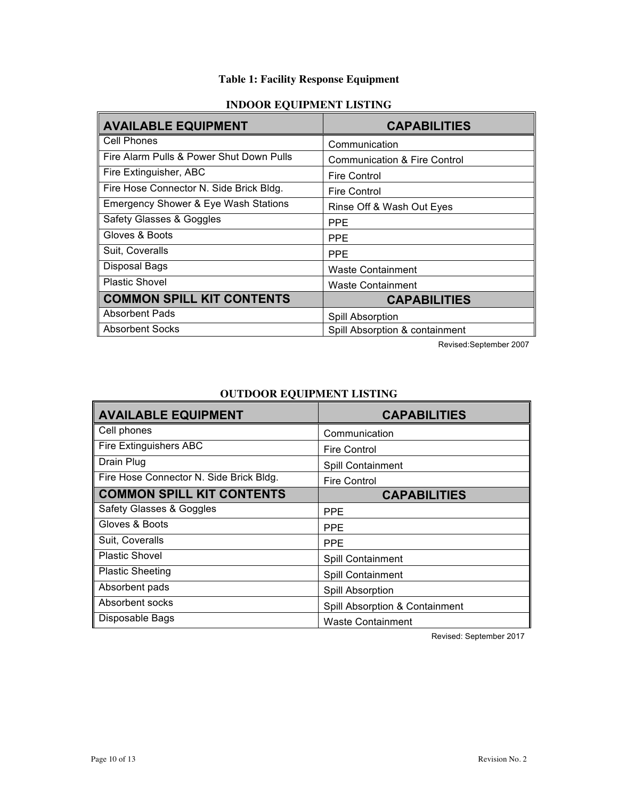## **Table 1: Facility Response Equipment**

## **INDOOR EQUIPMENT LISTING**

| <b>AVAILABLE EQUIPMENT</b>                      | <b>CAPABILITIES</b>                     |
|-------------------------------------------------|-----------------------------------------|
| <b>Cell Phones</b>                              | Communication                           |
| Fire Alarm Pulls & Power Shut Down Pulls        | <b>Communication &amp; Fire Control</b> |
| Fire Extinguisher, ABC                          | <b>Fire Control</b>                     |
| Fire Hose Connector N. Side Brick Bldg.         | Fire Control                            |
| <b>Emergency Shower &amp; Eye Wash Stations</b> | Rinse Off & Wash Out Eyes               |
| Safety Glasses & Goggles                        | <b>PPE</b>                              |
| Gloves & Boots                                  | <b>PPE</b>                              |
| Suit, Coveralls                                 | <b>PPE</b>                              |
| Disposal Bags                                   | <b>Waste Containment</b>                |
| <b>Plastic Shovel</b>                           | <b>Waste Containment</b>                |
| <b>COMMON SPILL KIT CONTENTS</b>                | <b>CAPABILITIES</b>                     |
| <b>Absorbent Pads</b>                           | Spill Absorption                        |
| <b>Absorbent Socks</b>                          | Spill Absorption & containment          |

Revised:September 2007

| <b>AVAILABLE EQUIPMENT</b>              | <b>CAPABILITIES</b>            |
|-----------------------------------------|--------------------------------|
| Cell phones                             | Communication                  |
| <b>Fire Extinguishers ABC</b>           | <b>Fire Control</b>            |
| Drain Plug                              | Spill Containment              |
| Fire Hose Connector N. Side Brick Bldg. | <b>Fire Control</b>            |
| <b>COMMON SPILL KIT CONTENTS</b>        | <b>CAPABILITIES</b>            |
| Safety Glasses & Goggles                | <b>PPE</b>                     |
| Gloves & Boots                          | <b>PPE</b>                     |
| Suit, Coveralls                         | <b>PPE</b>                     |
| <b>Plastic Shovel</b>                   | Spill Containment              |
| <b>Plastic Sheeting</b>                 | Spill Containment              |
| Absorbent pads                          | Spill Absorption               |
| Absorbent socks                         | Spill Absorption & Containment |
| Disposable Bags                         | <b>Waste Containment</b>       |

## **OUTDOOR EQUIPMENT LISTING**

Revised: September 2017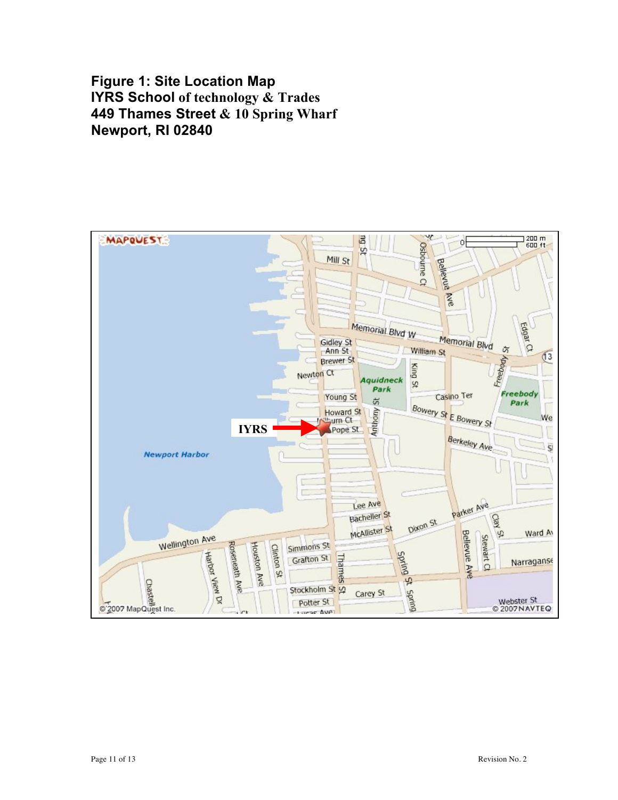# **Figure 1: Site Location Map IYRS School of technology & Trades 449 Thames Street & 10 Spring Wharf Newport, RI 02840**

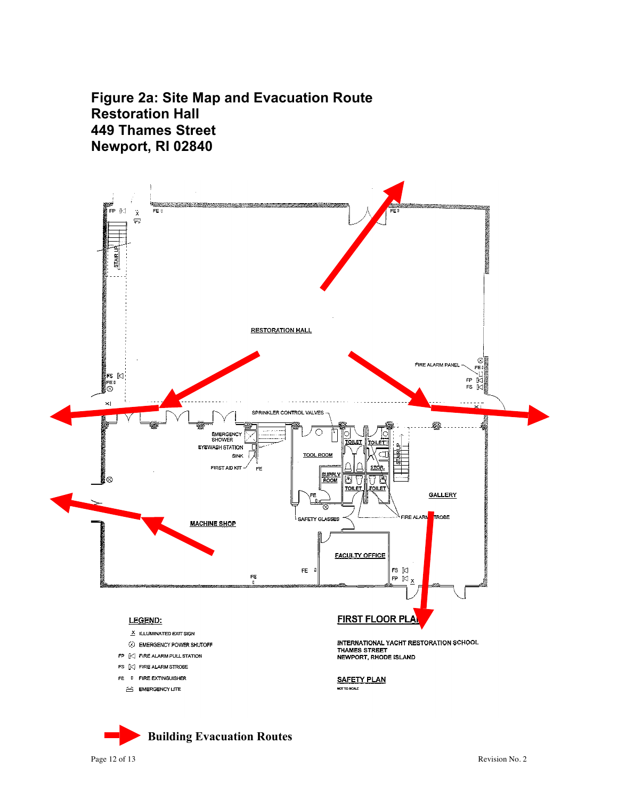**Figure 2a: Site Map and Evacuation Route Restoration Hall 449 Thames Street Newport, RI 02840**



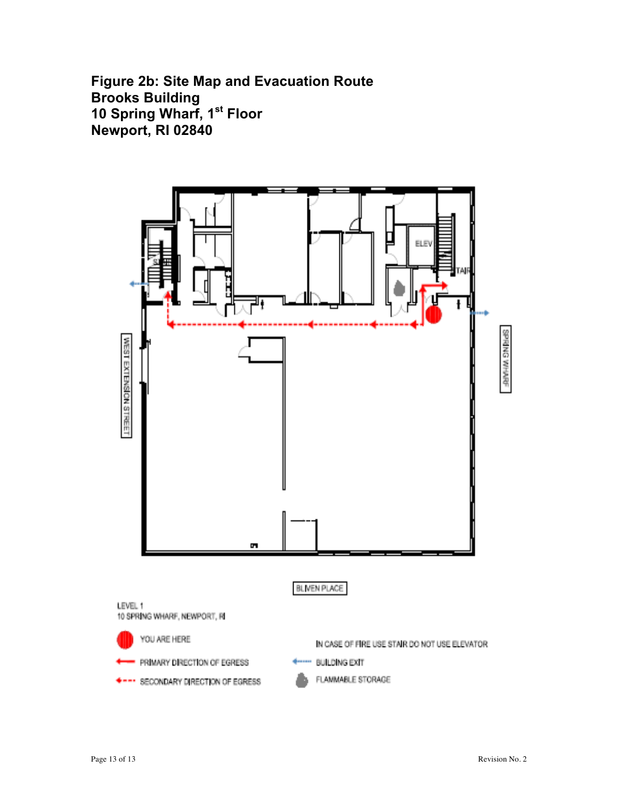**Figure 2b: Site Map and Evacuation Route Brooks Building 10 Spring Wharf, 1st Floor Newport, RI 02840**

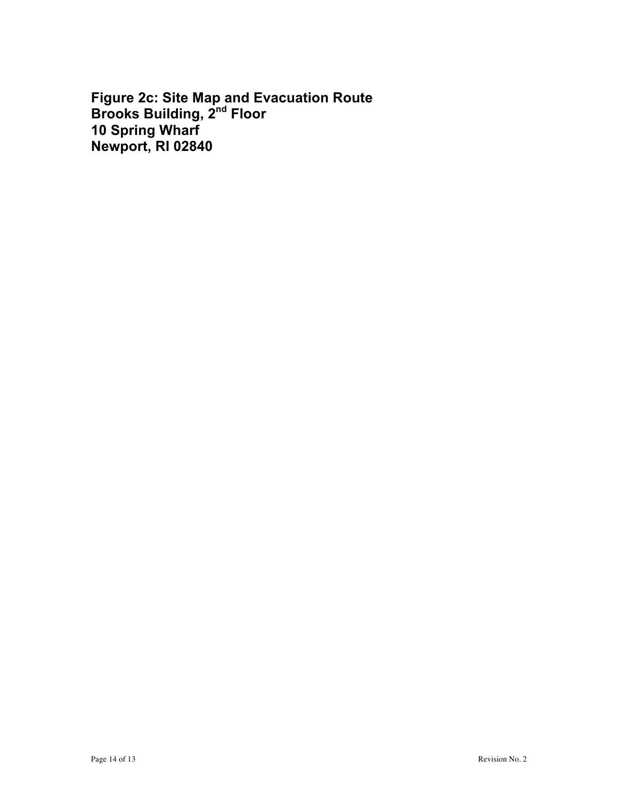**Figure 2c: Site Map and Evacuation Route Brooks Building, 2nd Floor 10 Spring Wharf Newport, RI 02840**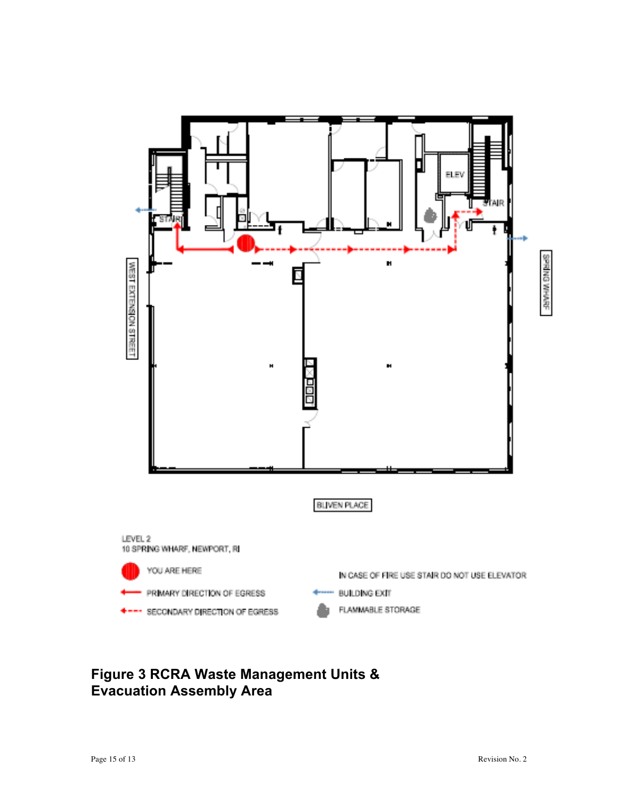

# **Figure 3 RCRA Waste Management Units & Evacuation Assembly Area**